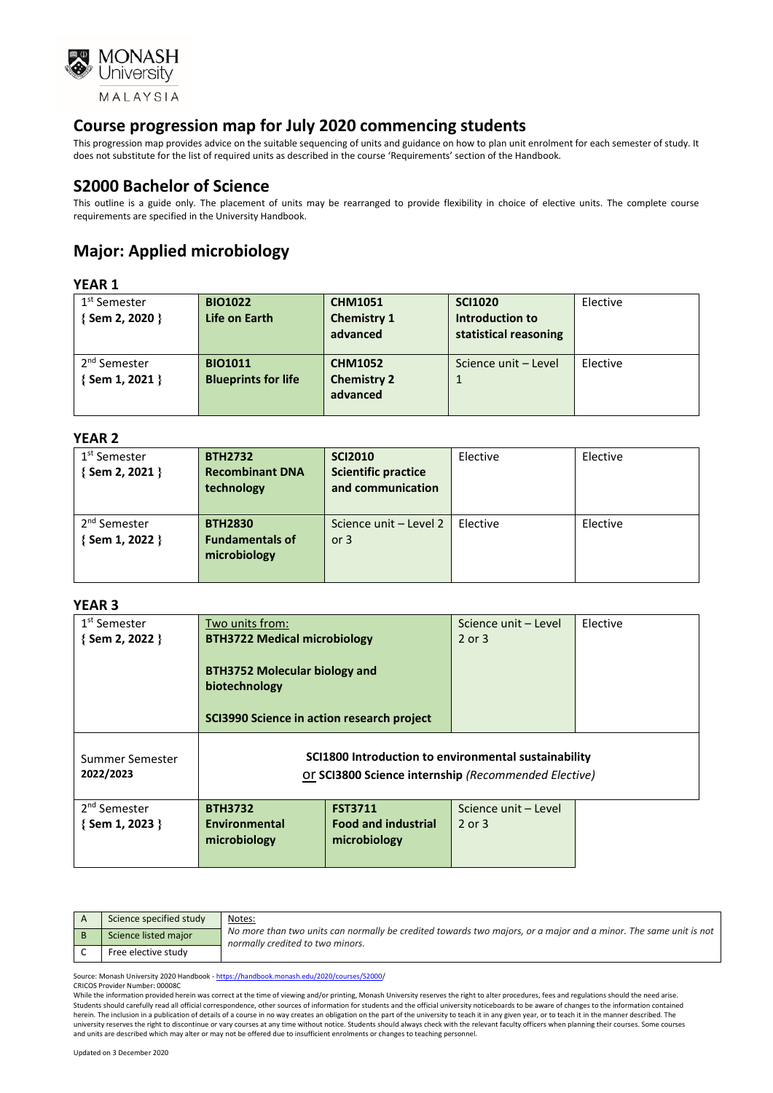

This progression map provides advice on the suitable sequencing of units and guidance on how to plan unit enrolment for each semester of study. It does not substitute for the list of required units as described in the course 'Requirements' section of the Handbook.

### **S2000 Bachelor of Science**

This outline is a guide only. The placement of units may be rearranged to provide flexibility in choice of elective units. The complete course requirements are specified in the University Handbook.

# **Major: Applied microbiology**

#### **YEAR 1**

| 1 <sup>st</sup> Semester | <b>BIO1022</b>             | <b>CHM1051</b>     | <b>SCI1020</b>        | Elective |
|--------------------------|----------------------------|--------------------|-----------------------|----------|
| {Sem 2, 2020 }           | Life on Earth              | <b>Chemistry 1</b> | Introduction to       |          |
|                          |                            | advanced           | statistical reasoning |          |
|                          |                            |                    |                       |          |
| 2 <sup>nd</sup> Semester | <b>BIO1011</b>             | <b>CHM1052</b>     | Science unit - Level  | Elective |
| $\{$ Sem 1, 2021 $\}$    | <b>Blueprints for life</b> | <b>Chemistry 2</b> |                       |          |
|                          |                            | advanced           |                       |          |
|                          |                            |                    |                       |          |

#### **YEAR 2**

| 1 <sup>st</sup> Semester | <b>BTH2732</b>         | <b>SCI2010</b>             | Elective | Elective |
|--------------------------|------------------------|----------------------------|----------|----------|
| {Sem 2, 2021 }           | <b>Recombinant DNA</b> | <b>Scientific practice</b> |          |          |
|                          | technology             | and communication          |          |          |
|                          |                        |                            |          |          |
| 2 <sup>nd</sup> Semester | <b>BTH2830</b>         | Science unit - Level 2     | Elective | Elective |
| {Sem 1, 2022 }           | <b>Fundamentals of</b> | or $3$                     |          |          |
|                          | microbiology           |                            |          |          |
|                          |                        |                            |          |          |
|                          |                        |                            |          |          |

#### **YEAR 3**

| 1 <sup>st</sup> Semester     | Two units from:                                                                                              |                            | Science unit – Level | Elective |
|------------------------------|--------------------------------------------------------------------------------------------------------------|----------------------------|----------------------|----------|
| $\{$ Sem 2, 2022 $\}$        | <b>BTH3722 Medical microbiology</b>                                                                          |                            | $2$ or $3$           |          |
|                              | <b>BTH3752 Molecular biology and</b><br>biotechnology<br>SCI3990 Science in action research project          |                            |                      |          |
| Summer Semester<br>2022/2023 | SCI1800 Introduction to environmental sustainability<br>Or SCI3800 Science internship (Recommended Elective) |                            |                      |          |
| 2 <sup>nd</sup> Semester     | <b>BTH3732</b>                                                                                               | <b>FST3711</b>             | Science unit - Level |          |
| {Sem 1, 2023 }               | Environmental                                                                                                | <b>Food and industrial</b> | $2$ or $3$           |          |
|                              | microbiology                                                                                                 | microbiology               |                      |          |
|                              |                                                                                                              |                            |                      |          |

| Science specified study | Notes:                                                                                                                                               |
|-------------------------|------------------------------------------------------------------------------------------------------------------------------------------------------|
| Science listed major    | No more than two units can normally be credited towards two majors, or a major and a minor. The same unit is not<br>normally credited to two minors. |
| Free elective study     |                                                                                                                                                      |

Source: Monash University 2020 Handbook - [https://handbook.monash.edu/2020/courses/S2000/](https://handbook.monash.edu/2020/courses/S2000) CRICOS Provider Number: 00008C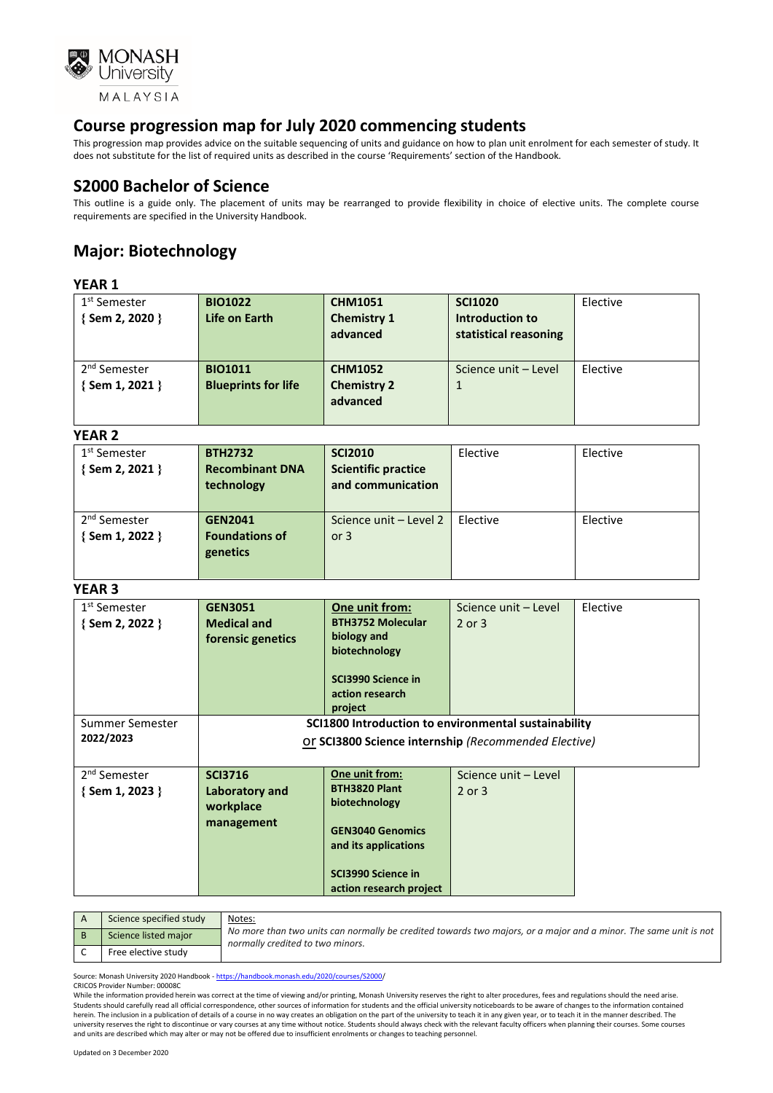

This progression map provides advice on the suitable sequencing of units and guidance on how to plan unit enrolment for each semester of study. It does not substitute for the list of required units as described in the course 'Requirements' section of the Handbook.

### **S2000 Bachelor of Science**

This outline is a guide only. The placement of units may be rearranged to provide flexibility in choice of elective units. The complete course requirements are specified in the University Handbook.

# **Major: Biotechnology**

#### **YEAR 1**

| 1 <sup>st</sup> Semester | <b>BIO1022</b>             | <b>CHM1051</b>     | <b>SCI1020</b>        | Elective |
|--------------------------|----------------------------|--------------------|-----------------------|----------|
| {Sem 2, 2020 }           | Life on Earth              | <b>Chemistry 1</b> | Introduction to       |          |
|                          |                            | advanced           | statistical reasoning |          |
|                          |                            |                    |                       |          |
|                          |                            |                    |                       |          |
| 2 <sup>nd</sup> Semester | <b>BIO1011</b>             | <b>CHM1052</b>     | Science unit - Level  | Elective |
| { Sem 1, 2021 }          | <b>Blueprints for life</b> | <b>Chemistry 2</b> | $\mathbf 1$           |          |
|                          |                            | advanced           |                       |          |
|                          |                            |                    |                       |          |
|                          |                            |                    |                       |          |

#### **YEAR 2**

| 1 <sup>st</sup> Semester<br>{Sem 2, 2021 } | <b>BTH2732</b><br><b>Recombinant DNA</b><br>technology | <b>SCI2010</b><br><b>Scientific practice</b><br>and communication | Elective | Elective |
|--------------------------------------------|--------------------------------------------------------|-------------------------------------------------------------------|----------|----------|
| 2 <sup>nd</sup> Semester<br>{Sem 1, 2022 } | <b>GEN2041</b><br><b>Foundations of</b><br>genetics    | Science unit - Level 2<br>or $3$                                  | Elective | Elective |

#### **YEAR 3**

| 1 <sup>st</sup> Semester<br>$\{$ Sem 2, 2022 $\}$ | <b>GEN3051</b><br><b>Medical and</b><br>forensic genetics                                                    | One unit from:<br><b>BTH3752 Molecular</b><br>biology and<br>biotechnology<br>SCI3990 Science in<br>action research<br>project                              | Science unit - Level<br>$2$ or $3$ | Elective |
|---------------------------------------------------|--------------------------------------------------------------------------------------------------------------|-------------------------------------------------------------------------------------------------------------------------------------------------------------|------------------------------------|----------|
| Summer Semester<br>2022/2023                      | SCI1800 Introduction to environmental sustainability<br>Or SCI3800 Science internship (Recommended Elective) |                                                                                                                                                             |                                    |          |
| 2 <sup>nd</sup> Semester<br>$\{$ Sem 1, 2023 $\}$ | <b>SCI3716</b><br><b>Laboratory and</b><br>workplace<br>management                                           | One unit from:<br><b>BTH3820 Plant</b><br>biotechnology<br><b>GEN3040 Genomics</b><br>and its applications<br>SCI3990 Science in<br>action research project | Science unit - Level<br>$2$ or $3$ |          |

| Science specified study | Notes:                                                                                                                                               |
|-------------------------|------------------------------------------------------------------------------------------------------------------------------------------------------|
| Science listed major    | No more than two units can normally be credited towards two majors, or a major and a minor. The same unit is not<br>normally credited to two minors. |
| Free elective study     |                                                                                                                                                      |

Source: Monash University 2020 Handbook - [https://handbook.monash.edu/2020/courses/S2000/](https://handbook.monash.edu/2020/courses/S2000) CRICOS Provider Number: 00008C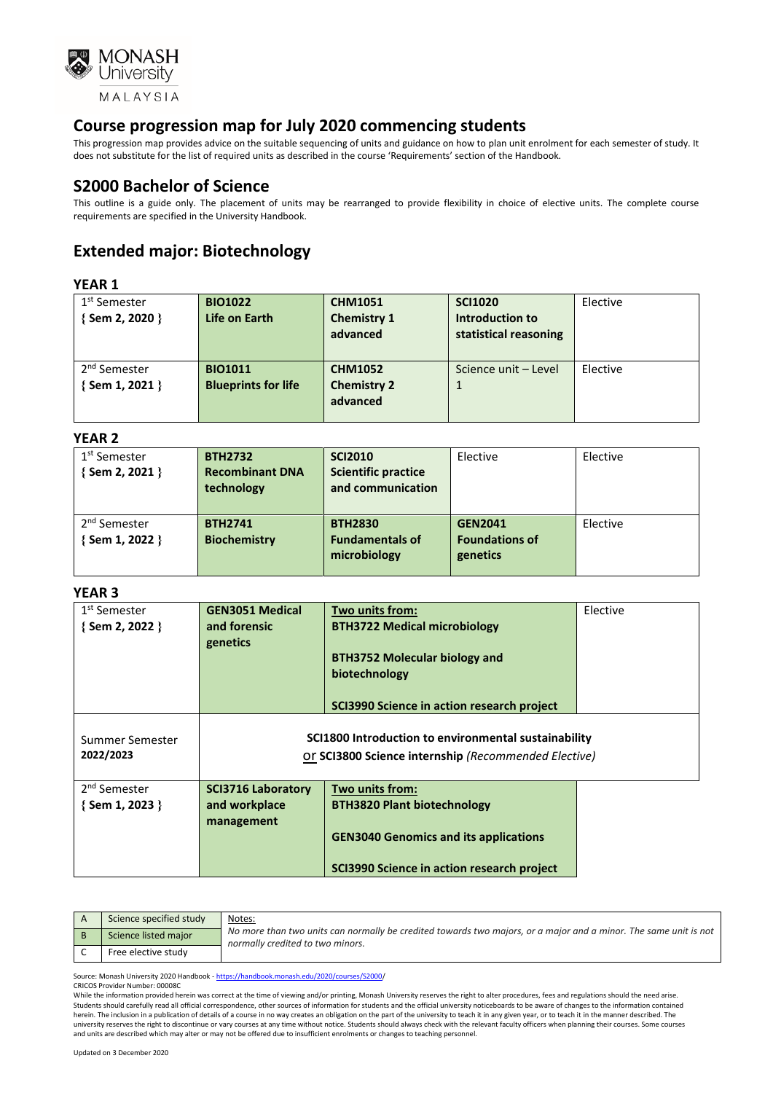

This progression map provides advice on the suitable sequencing of units and guidance on how to plan unit enrolment for each semester of study. It does not substitute for the list of required units as described in the course 'Requirements' section of the Handbook.

### **S2000 Bachelor of Science**

This outline is a guide only. The placement of units may be rearranged to provide flexibility in choice of elective units. The complete course requirements are specified in the University Handbook.

# **Extended major: Biotechnology**

#### **YEAR 1**

| 1 <sup>st</sup> Semester<br>{Sem 2, 2020 }  | <b>BIO1022</b><br>Life on Earth              | <b>CHM1051</b><br><b>Chemistry 1</b><br>advanced | <b>SCI1020</b><br>Introduction to<br>statistical reasoning | Elective |
|---------------------------------------------|----------------------------------------------|--------------------------------------------------|------------------------------------------------------------|----------|
| 2 <sup>nd</sup> Semester<br>{ Sem 1, 2021 } | <b>BIO1011</b><br><b>Blueprints for life</b> | <b>CHM1052</b><br><b>Chemistry 2</b><br>advanced | Science unit - Level                                       | Elective |

#### **YEAR 2**

| .                        |                        |                            |                       |          |
|--------------------------|------------------------|----------------------------|-----------------------|----------|
| 1 <sup>st</sup> Semester | <b>BTH2732</b>         | <b>SCI2010</b>             | Elective              | Elective |
| {Sem 2, 2021 }           | <b>Recombinant DNA</b> | <b>Scientific practice</b> |                       |          |
|                          | technology             | and communication          |                       |          |
|                          |                        |                            |                       |          |
| 2 <sup>nd</sup> Semester | <b>BTH2741</b>         | <b>BTH2830</b>             | <b>GEN2041</b>        | Elective |
| {Sem 1, 2022 }           | <b>Biochemistry</b>    | <b>Fundamentals of</b>     | <b>Foundations of</b> |          |
|                          |                        | microbiology               | genetics              |          |
|                          |                        |                            |                       |          |

#### **YEAR 3**

| 1 <sup>st</sup> Semester<br>{Sem 2, 2022 } | <b>GEN3051 Medical</b><br>Two units from:<br>and forensic<br><b>BTH3722 Medical microbiology</b><br>genetics |                                                       | Elective |
|--------------------------------------------|--------------------------------------------------------------------------------------------------------------|-------------------------------------------------------|----------|
|                                            |                                                                                                              | <b>BTH3752 Molecular biology and</b><br>biotechnology |          |
|                                            |                                                                                                              | SCI3990 Science in action research project            |          |
| Summer Semester<br>2022/2023               | SCI1800 Introduction to environmental sustainability<br>Or SCI3800 Science internship (Recommended Elective) |                                                       |          |
| 2 <sup>nd</sup> Semester                   | <b>SCI3716 Laboratory</b>                                                                                    | Two units from:                                       |          |
| $\{$ Sem 1, 2023 $\}$                      | and workplace<br><b>BTH3820 Plant biotechnology</b><br>management                                            |                                                       |          |
|                                            | <b>GEN3040 Genomics and its applications</b>                                                                 |                                                       |          |
|                                            |                                                                                                              | SCI3990 Science in action research project            |          |

| Science specified study | Notes:                                                                                                                                               |
|-------------------------|------------------------------------------------------------------------------------------------------------------------------------------------------|
| Science listed major    | No more than two units can normally be credited towards two majors, or a major and a minor. The same unit is not<br>normally credited to two minors. |
| Free elective study     |                                                                                                                                                      |

Source: Monash University 2020 Handbook - [https://handbook.monash.edu/2020/courses/S2000/](https://handbook.monash.edu/2020/courses/S2000) CRICOS Provider Number: 00008C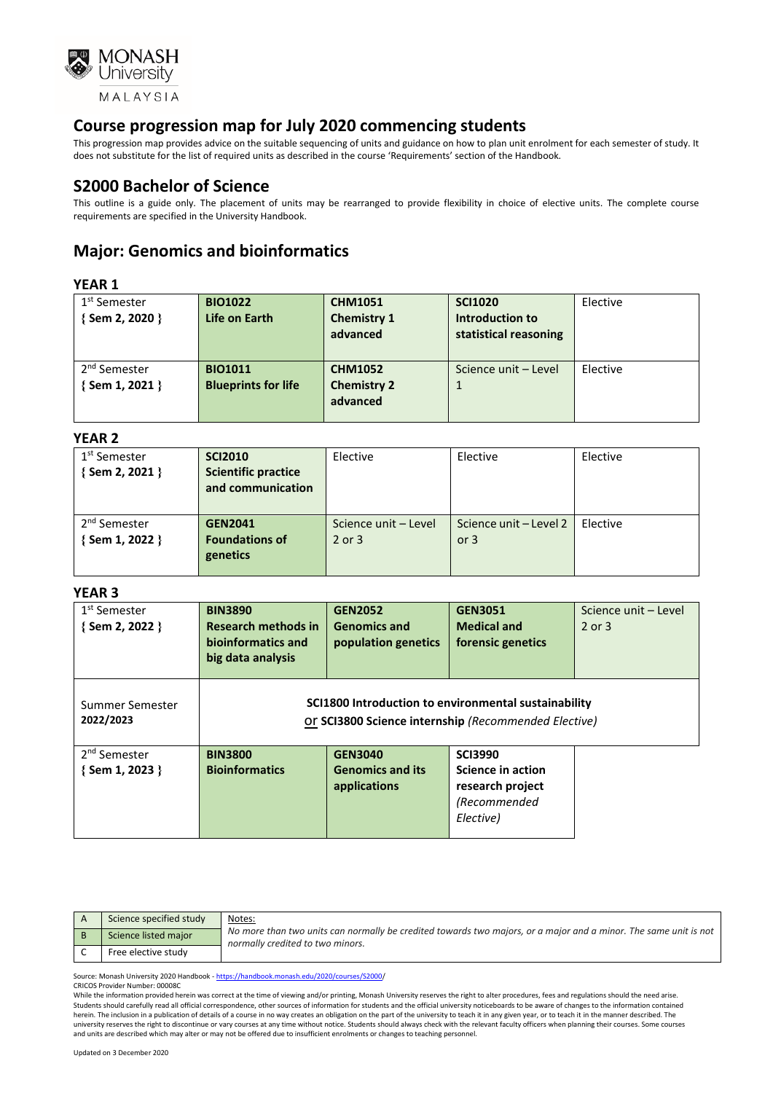

This progression map provides advice on the suitable sequencing of units and guidance on how to plan unit enrolment for each semester of study. It does not substitute for the list of required units as described in the course 'Requirements' section of the Handbook.

### **S2000 Bachelor of Science**

This outline is a guide only. The placement of units may be rearranged to provide flexibility in choice of elective units. The complete course requirements are specified in the University Handbook.

## **Major: Genomics and bioinformatics**

#### **YEAR 1**

| 1 <sup>st</sup> Semester | <b>BIO1022</b>             | <b>CHM1051</b>     | <b>SCI1020</b>        | Elective |
|--------------------------|----------------------------|--------------------|-----------------------|----------|
| {Sem 2, 2020 }           | Life on Earth              | <b>Chemistry 1</b> | Introduction to       |          |
|                          |                            | advanced           | statistical reasoning |          |
|                          |                            |                    |                       |          |
| 2 <sup>nd</sup> Semester | <b>BIO1011</b>             | <b>CHM1052</b>     | Science unit - Level  | Elective |
| {Sem 1, 2021 }           | <b>Blueprints for life</b> | <b>Chemistry 2</b> | $\mathbf{1}$          |          |
|                          |                            | advanced           |                       |          |
|                          |                            |                    |                       |          |

#### **YEAR 2**

| .                        |                            |                      |                        |          |
|--------------------------|----------------------------|----------------------|------------------------|----------|
| 1 <sup>st</sup> Semester | <b>SCI2010</b>             | Elective             | Elective               | Elective |
| $\{$ Sem 2, 2021 $\}$    | <b>Scientific practice</b> |                      |                        |          |
|                          | and communication          |                      |                        |          |
|                          |                            |                      |                        |          |
| 2 <sup>nd</sup> Semester | <b>GEN2041</b>             | Science unit - Level | Science unit – Level 2 | Elective |
| {Sem 1, 2022 }           | <b>Foundations of</b>      | 2 or 3               | or $3$                 |          |
|                          | genetics                   |                      |                        |          |
|                          |                            |                      |                        |          |

#### **YEAR 3**

| 1 <sup>st</sup> Semester<br>{ Sem 2, 2022 } | <b>BIN3890</b><br><b>Research methods in</b><br>bioinformatics and<br>big data analysis | <b>GEN2052</b><br><b>Genomics and</b><br>population genetics | <b>GEN3051</b><br><b>Medical and</b><br>forensic genetics                                                    | Science unit - Level<br>$2$ or $3$ |
|---------------------------------------------|-----------------------------------------------------------------------------------------|--------------------------------------------------------------|--------------------------------------------------------------------------------------------------------------|------------------------------------|
| Summer Semester<br>2022/2023                |                                                                                         |                                                              | SCI1800 Introduction to environmental sustainability<br>Or SCI3800 Science internship (Recommended Elective) |                                    |
| 2 <sup>nd</sup> Semester<br>{Sem 1, 2023 }  | <b>BIN3800</b><br><b>Bioinformatics</b>                                                 | <b>GEN3040</b><br><b>Genomics and its</b><br>applications    | <b>SCI3990</b><br>Science in action<br>research project<br>(Recommended<br>Elective)                         |                                    |

| Science specified study | Notes:                                                                                                                                               |
|-------------------------|------------------------------------------------------------------------------------------------------------------------------------------------------|
| Science listed major    | No more than two units can normally be credited towards two majors, or a major and a minor. The same unit is not<br>normally credited to two minors. |
| Free elective study     |                                                                                                                                                      |

Source: Monash University 2020 Handbook - [https://handbook.monash.edu/2020/courses/S2000/](https://handbook.monash.edu/2020/courses/S2000) CRICOS Provider Number: 00008C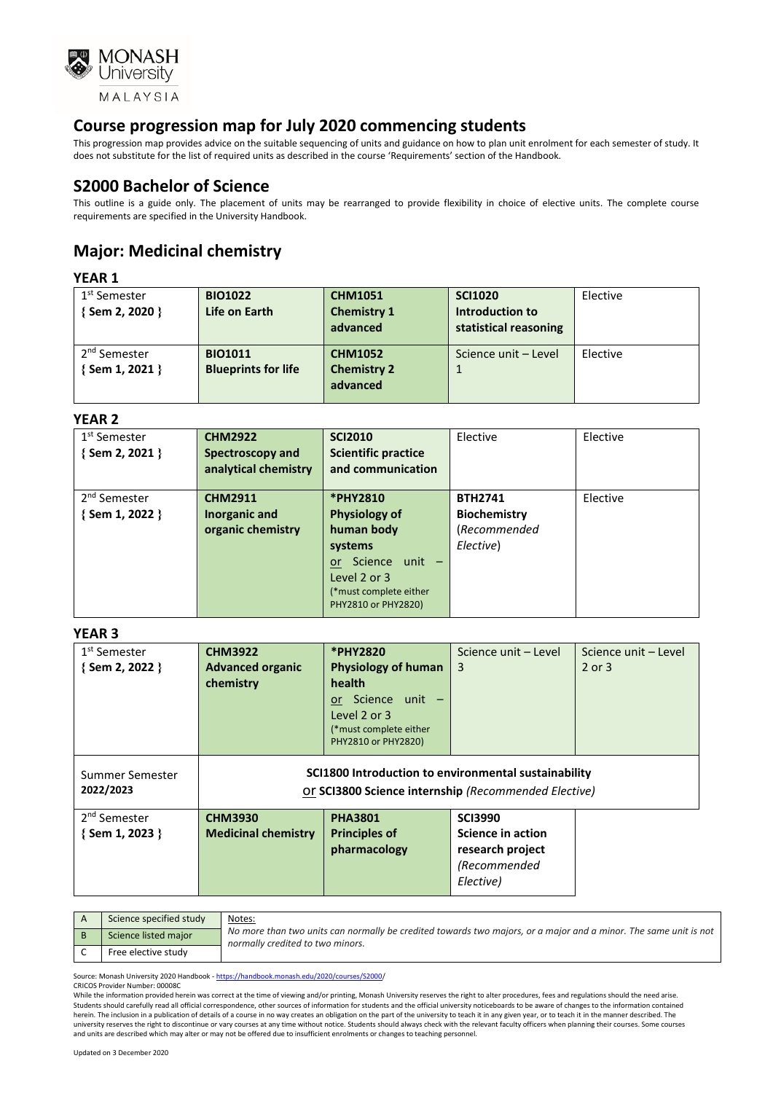

This progression map provides advice on the suitable sequencing of units and guidance on how to plan unit enrolment for each semester of study. It does not substitute for the list of required units as described in the course 'Requirements' section of the Handbook.

### **S2000 Bachelor of Science**

This outline is a guide only. The placement of units may be rearranged to provide flexibility in choice of elective units. The complete course requirements are specified in the University Handbook.

# **Major: Medicinal chemistry**

### **YEAR 1**

| 1 <sup>st</sup> Semester<br>{Sem 2, 2020 } | <b>BIO1022</b><br>Life on Earth | <b>CHM1051</b><br><b>Chemistry 1</b><br>advanced | <b>SCI1020</b><br>Introduction to<br>statistical reasoning | Elective |
|--------------------------------------------|---------------------------------|--------------------------------------------------|------------------------------------------------------------|----------|
| 2 <sup>nd</sup> Semester                   | <b>BIO1011</b>                  | <b>CHM1052</b>                                   | Science unit - Level                                       | Elective |
| {Sem 1, 2021 }                             | <b>Blueprints for life</b>      | <b>Chemistry 2</b>                               |                                                            |          |
|                                            |                                 | advanced                                         |                                                            |          |

#### **YEAR 2**

| 1 <sup>st</sup> Semester | <b>CHM2922</b>       | <b>SCI2010</b>              | Elective            | Elective |
|--------------------------|----------------------|-----------------------------|---------------------|----------|
| {Sem 2, 2021 }           | Spectroscopy and     | <b>Scientific practice</b>  |                     |          |
|                          | analytical chemistry | and communication           |                     |          |
|                          |                      |                             |                     |          |
| 2 <sup>nd</sup> Semester | <b>CHM2911</b>       | <b>*PHY2810</b>             | <b>BTH2741</b>      | Elective |
| {Sem 1, 2022 }           | Inorganic and        | <b>Physiology of</b>        | <b>Biochemistry</b> |          |
|                          | organic chemistry    | human body                  | (Recommended        |          |
|                          |                      | systems                     | Elective)           |          |
|                          |                      | Science unit -<br><b>or</b> |                     |          |
|                          |                      | Level 2 or 3                |                     |          |
|                          |                      | (*must complete either      |                     |          |
|                          |                      | PHY2810 or PHY2820)         |                     |          |

#### **YEAR 3**

| 1 <sup>st</sup> Semester     | <b>CHM3922</b>                                                                                               | *PHY2820                   | Science unit - Level | Science unit - Level |
|------------------------------|--------------------------------------------------------------------------------------------------------------|----------------------------|----------------------|----------------------|
| {Sem 2, 2022 }               | <b>Advanced organic</b>                                                                                      | <b>Physiology of human</b> | 3                    | 2 or 3               |
|                              | chemistry                                                                                                    | health                     |                      |                      |
|                              |                                                                                                              | or Science unit -          |                      |                      |
|                              |                                                                                                              | Level 2 or 3               |                      |                      |
|                              |                                                                                                              | (*must complete either     |                      |                      |
|                              |                                                                                                              | PHY2810 or PHY2820)        |                      |                      |
| Summer Semester<br>2022/2023 | SCI1800 Introduction to environmental sustainability<br>Or SCI3800 Science internship (Recommended Elective) |                            |                      |                      |
| 2 <sup>nd</sup> Semester     | <b>CHM3930</b>                                                                                               | <b>PHA3801</b>             | <b>SCI3990</b>       |                      |
| $\{$ Sem 1, 2023 $\}$        | <b>Medicinal chemistry</b>                                                                                   | <b>Principles of</b>       | Science in action    |                      |
|                              |                                                                                                              | pharmacology               | research project     |                      |
|                              |                                                                                                              |                            | (Recommended         |                      |
|                              |                                                                                                              |                            | Elective)            |                      |
|                              |                                                                                                              |                            |                      |                      |

| Science specified study | Notes:                                                                                                                                               |
|-------------------------|------------------------------------------------------------------------------------------------------------------------------------------------------|
| Science listed major    | No more than two units can normally be credited towards two majors, or a major and a minor. The same unit is not<br>normally credited to two minors. |
| Free elective study     |                                                                                                                                                      |

Source: Monash University 2020 Handbook - [https://handbook.monash.edu/2020/courses/S2000/](https://handbook.monash.edu/2020/courses/S2000) CRICOS Provider Number: 00008C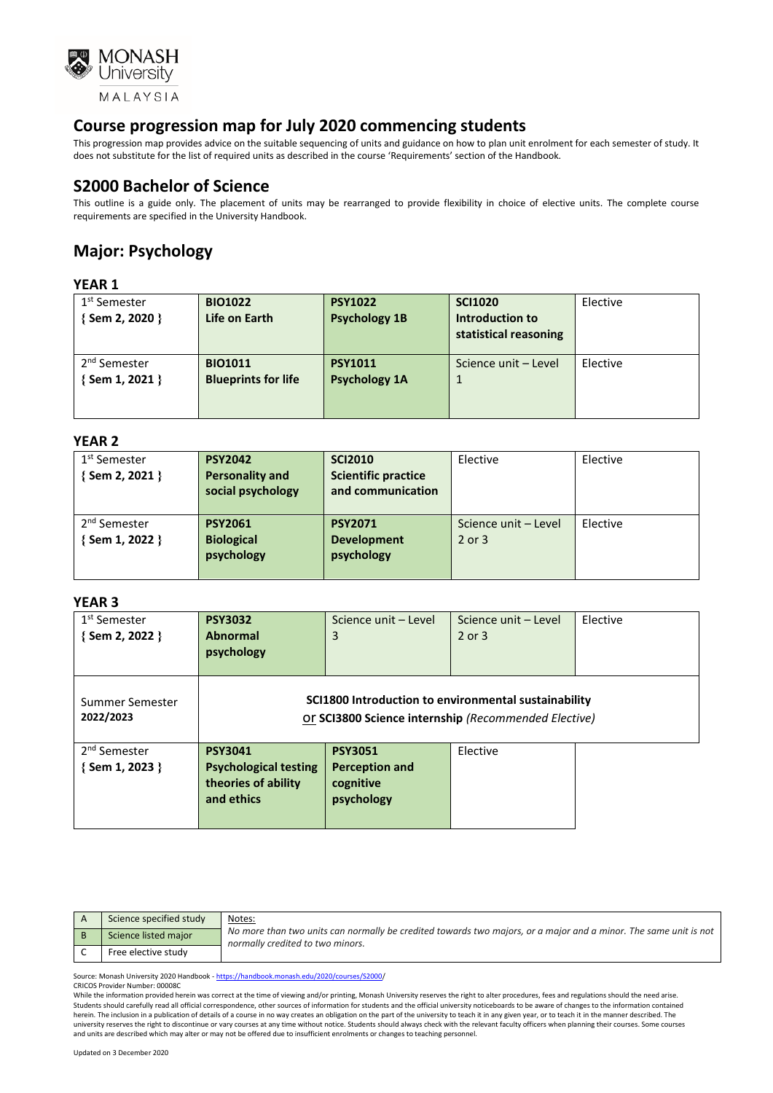

This progression map provides advice on the suitable sequencing of units and guidance on how to plan unit enrolment for each semester of study. It does not substitute for the list of required units as described in the course 'Requirements' section of the Handbook.

### **S2000 Bachelor of Science**

This outline is a guide only. The placement of units may be rearranged to provide flexibility in choice of elective units. The complete course requirements are specified in the University Handbook.

# **Major: Psychology**

#### **YEAR 1**

| 1 <sup>st</sup> Semester | <b>BIO1022</b>             | <b>PSY1022</b>       | <b>SCI1020</b>        | Elective |
|--------------------------|----------------------------|----------------------|-----------------------|----------|
| { Sem 2, 2020 }          | Life on Earth              | <b>Psychology 1B</b> | Introduction to       |          |
|                          |                            |                      | statistical reasoning |          |
|                          |                            |                      |                       |          |
| 2 <sup>nd</sup> Semester | <b>BIO1011</b>             | <b>PSY1011</b>       | Science unit - Level  | Elective |
| { Sem 1, 2021 }          | <b>Blueprints for life</b> | <b>Psychology 1A</b> | $\mathbf{1}$          |          |
|                          |                            |                      |                       |          |
|                          |                            |                      |                       |          |

#### **YEAR 2**

| 1 <sup>st</sup> Semester | <b>PSY2042</b>         | <b>SCI2010</b>             | Elective             | Elective |
|--------------------------|------------------------|----------------------------|----------------------|----------|
| { Sem 2, 2021 }          | <b>Personality and</b> | <b>Scientific practice</b> |                      |          |
|                          | social psychology      | and communication          |                      |          |
|                          |                        |                            |                      |          |
| 2 <sup>nd</sup> Semester | <b>PSY2061</b>         | <b>PSY2071</b>             | Science unit - Level | Elective |
| { Sem 1, 2022 }          | <b>Biological</b>      | <b>Development</b>         | $2$ or $3$           |          |
|                          | psychology             | psychology                 |                      |          |
|                          |                        |                            |                      |          |
|                          |                        |                            |                      |          |

#### **YEAR 3**

| 1 <sup>st</sup> Semester                   | <b>PSY3032</b>                                                                      | Science unit - Level                                               | Science unit - Level | Elective |
|--------------------------------------------|-------------------------------------------------------------------------------------|--------------------------------------------------------------------|----------------------|----------|
| { Sem 2, 2022 }                            | <b>Abnormal</b>                                                                     | 3                                                                  | $2$ or $3$           |          |
|                                            | psychology                                                                          |                                                                    |                      |          |
| Summer Semester                            | SCI1800 Introduction to environmental sustainability                                |                                                                    |                      |          |
| 2022/2023                                  | Or SCI3800 Science internship (Recommended Elective)                                |                                                                    |                      |          |
| 2 <sup>nd</sup> Semester<br>{Sem 1, 2023 } | <b>PSY3041</b><br><b>Psychological testing</b><br>theories of ability<br>and ethics | <b>PSY3051</b><br><b>Perception and</b><br>cognitive<br>psychology | Elective             |          |

| Science specified study | Notes:                                                                                                                                               |
|-------------------------|------------------------------------------------------------------------------------------------------------------------------------------------------|
| Science listed major    | No more than two units can normally be credited towards two majors, or a major and a minor. The same unit is not<br>normally credited to two minors. |
| Free elective study     |                                                                                                                                                      |

Source: Monash University 2020 Handbook - [https://handbook.monash.edu/2020/courses/S2000/](https://handbook.monash.edu/2020/courses/S2000) CRICOS Provider Number: 00008C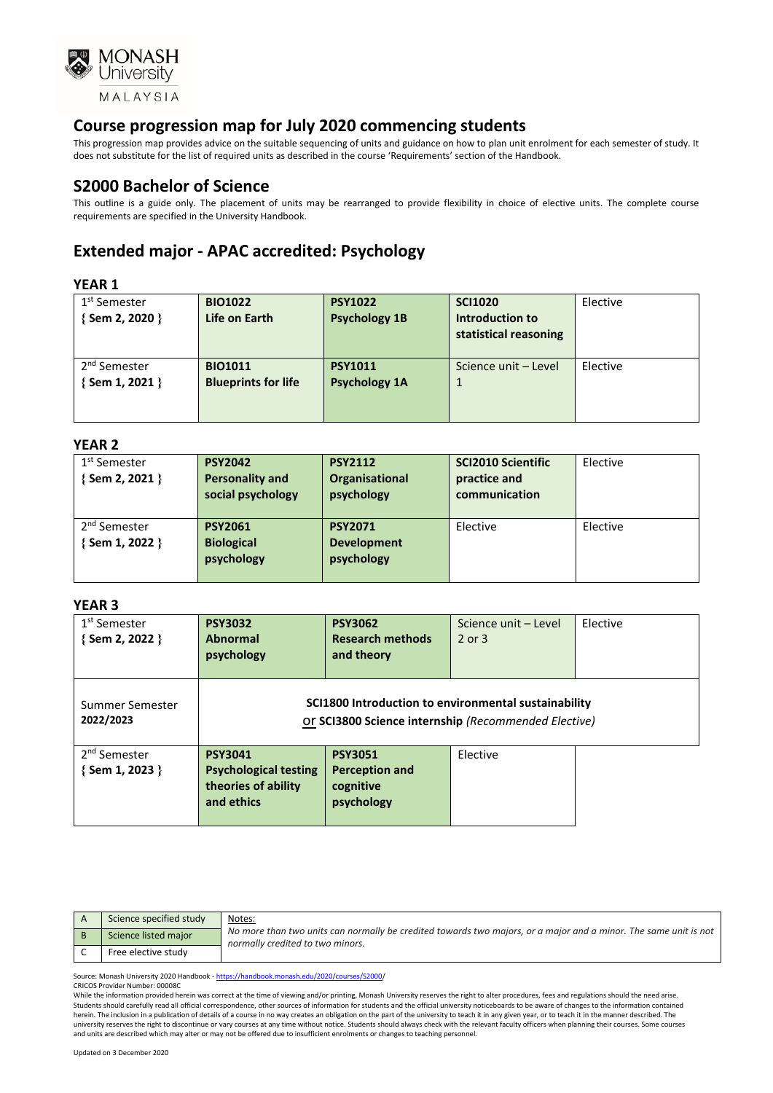

This progression map provides advice on the suitable sequencing of units and guidance on how to plan unit enrolment for each semester of study. It does not substitute for the list of required units as described in the course 'Requirements' section of the Handbook.

### **S2000 Bachelor of Science**

This outline is a guide only. The placement of units may be rearranged to provide flexibility in choice of elective units. The complete course requirements are specified in the University Handbook.

# **Extended major - APAC accredited: Psychology**

### **YEAR 1**

| .                        |                            |                      |                       |          |
|--------------------------|----------------------------|----------------------|-----------------------|----------|
| 1 <sup>st</sup> Semester | <b>BIO1022</b>             | <b>PSY1022</b>       | <b>SCI1020</b>        | Elective |
| {Sem 2, 2020 }           | Life on Earth              | <b>Psychology 1B</b> | Introduction to       |          |
|                          |                            |                      | statistical reasoning |          |
|                          |                            |                      |                       |          |
| 2 <sup>nd</sup> Semester | <b>BIO1011</b>             | <b>PSY1011</b>       | Science unit - Level  | Elective |
| $\{$ Sem 1, 2021 $\}$    | <b>Blueprints for life</b> | <b>Psychology 1A</b> |                       |          |
|                          |                            |                      |                       |          |
|                          |                            |                      |                       |          |

#### **YEAR 2**

| 1 <sup>st</sup> Semester | <b>PSY2042</b>         | <b>PSY2112</b>        | <b>SCI2010 Scientific</b> | Elective |
|--------------------------|------------------------|-----------------------|---------------------------|----------|
| { Sem 2, 2021 }          | <b>Personality and</b> | <b>Organisational</b> | practice and              |          |
|                          | social psychology      | psychology            | communication             |          |
|                          |                        |                       |                           |          |
| 2 <sup>nd</sup> Semester | <b>PSY2061</b>         | <b>PSY2071</b>        | Elective                  | Elective |
| Sem 1, 2022 }            | <b>Biological</b>      | <b>Development</b>    |                           |          |
|                          | psychology             | psychology            |                           |          |
|                          |                        |                       |                           |          |

#### **YEAR 3**

| 1 <sup>st</sup> Semester<br>{Sem 2, 2022 }  | <b>PSY3032</b><br><b>Abnormal</b><br>psychology                                     | <b>PSY3062</b><br><b>Research methods</b><br>and theory                                                      | Science unit - Level<br>2 or 3 | Elective |
|---------------------------------------------|-------------------------------------------------------------------------------------|--------------------------------------------------------------------------------------------------------------|--------------------------------|----------|
| Summer Semester<br>2022/2023                |                                                                                     | SCI1800 Introduction to environmental sustainability<br>Or SCI3800 Science internship (Recommended Elective) |                                |          |
| 2 <sup>nd</sup> Semester<br>{ Sem 1, 2023 } | <b>PSY3041</b><br><b>Psychological testing</b><br>theories of ability<br>and ethics | <b>PSY3051</b><br><b>Perception and</b><br>cognitive<br>psychology                                           | Elective                       |          |

| Science specified study | Notes:                                                                                                                                               |
|-------------------------|------------------------------------------------------------------------------------------------------------------------------------------------------|
| Science listed major    | No more than two units can normally be credited towards two majors, or a major and a minor. The same unit is not<br>normally credited to two minors. |
| Free elective study     |                                                                                                                                                      |

Source: Monash University 2020 Handbook - [https://handbook.monash.edu/2020/courses/S2000/](https://handbook.monash.edu/2020/courses/S2000)

CRICOS Provider Number: 00008C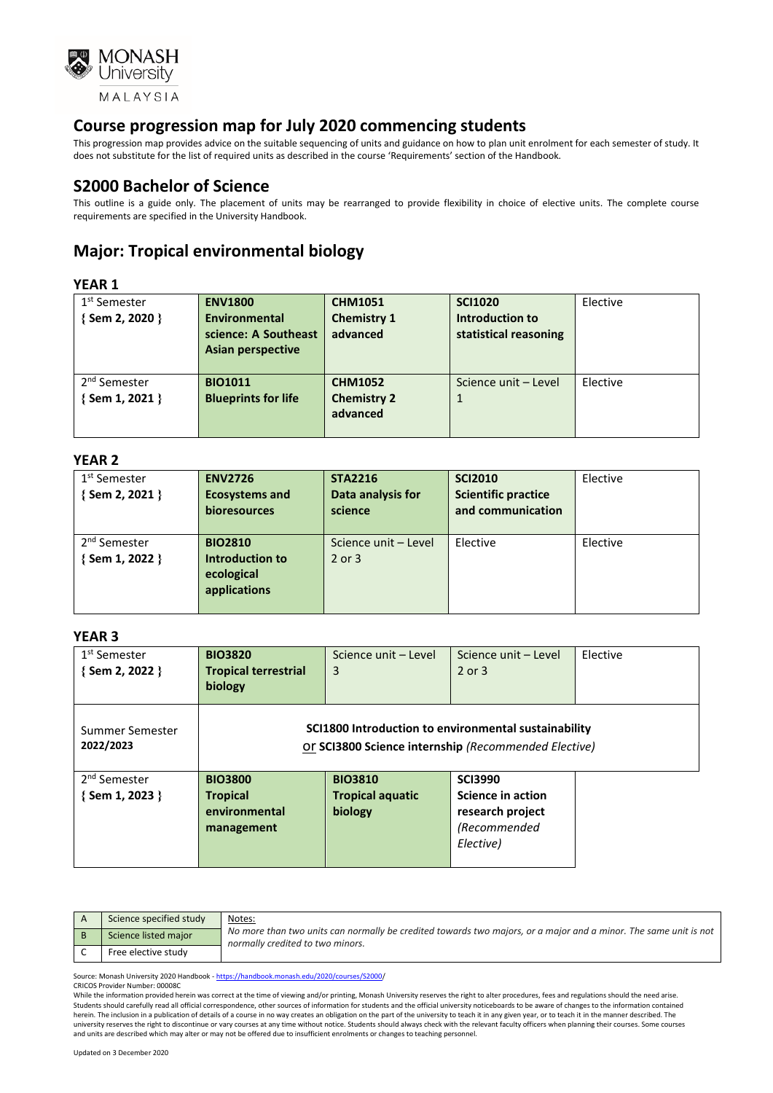

This progression map provides advice on the suitable sequencing of units and guidance on how to plan unit enrolment for each semester of study. It does not substitute for the list of required units as described in the course 'Requirements' section of the Handbook.

### **S2000 Bachelor of Science**

This outline is a guide only. The placement of units may be rearranged to provide flexibility in choice of elective units. The complete course requirements are specified in the University Handbook.

# **Major: Tropical environmental biology**

### **YEAR 1**

| 1 <sup>st</sup> Semester | <b>ENV1800</b>             | <b>CHM1051</b>     | <b>SCI1020</b>        | Elective |
|--------------------------|----------------------------|--------------------|-----------------------|----------|
| {Sem 2, 2020 }           | Environmental              | <b>Chemistry 1</b> | Introduction to       |          |
|                          | science: A Southeast       | advanced           | statistical reasoning |          |
|                          | Asian perspective          |                    |                       |          |
|                          |                            |                    |                       |          |
| 2 <sup>nd</sup> Semester | <b>BIO1011</b>             | <b>CHM1052</b>     | Science unit - Level  | Elective |
| {Sem 1, 2021 }           | <b>Blueprints for life</b> | <b>Chemistry 2</b> |                       |          |
|                          |                            | advanced           |                       |          |
|                          |                            |                    |                       |          |

#### **YEAR 2**

| 1 <sup>st</sup> Semester<br>{Sem 2, 2021 } | <b>ENV2726</b><br><b>Ecosystems and</b><br>bioresources         | <b>STA2216</b><br>Data analysis for<br>science | <b>SCI2010</b><br><b>Scientific practice</b><br>and communication | Elective |
|--------------------------------------------|-----------------------------------------------------------------|------------------------------------------------|-------------------------------------------------------------------|----------|
| 2 <sup>nd</sup> Semester<br>{Sem 1, 2022 } | <b>BIO2810</b><br>Introduction to<br>ecological<br>applications | Science unit - Level<br>2 or 3                 | Elective                                                          | Elective |

#### **YEAR 3**

| 1 <sup>st</sup> Semester<br>{Sem 2, 2022 } | <b>BIO3820</b><br><b>Tropical terrestrial</b><br>biology | Science unit - Level<br>3                                                                                    | Science unit - Level<br>$2$ or $3$ | Elective |
|--------------------------------------------|----------------------------------------------------------|--------------------------------------------------------------------------------------------------------------|------------------------------------|----------|
| Summer Semester<br>2022/2023               |                                                          | SCI1800 Introduction to environmental sustainability<br>Or SCI3800 Science internship (Recommended Elective) |                                    |          |
| 2 <sup>nd</sup> Semester                   | <b>BIO3800</b>                                           | <b>BIO3810</b>                                                                                               | <b>SCI3990</b>                     |          |
| { Sem 1, 2023 }                            | <b>Tropical</b>                                          | <b>Tropical aquatic</b>                                                                                      | Science in action                  |          |
|                                            | environmental                                            | biology                                                                                                      | research project                   |          |
|                                            | management                                               |                                                                                                              | (Recommended                       |          |
|                                            |                                                          |                                                                                                              | Elective)                          |          |
|                                            |                                                          |                                                                                                              |                                    |          |

| Science specified study | Notes:                                                                                                                                               |
|-------------------------|------------------------------------------------------------------------------------------------------------------------------------------------------|
| Science listed major    | No more than two units can normally be credited towards two majors, or a major and a minor. The same unit is not<br>normally credited to two minors. |
| Free elective study     |                                                                                                                                                      |

Source: Monash University 2020 Handbook - [https://handbook.monash.edu/2020/courses/S2000/](https://handbook.monash.edu/2020/courses/S2000)

CRICOS Provider Number: 00008C